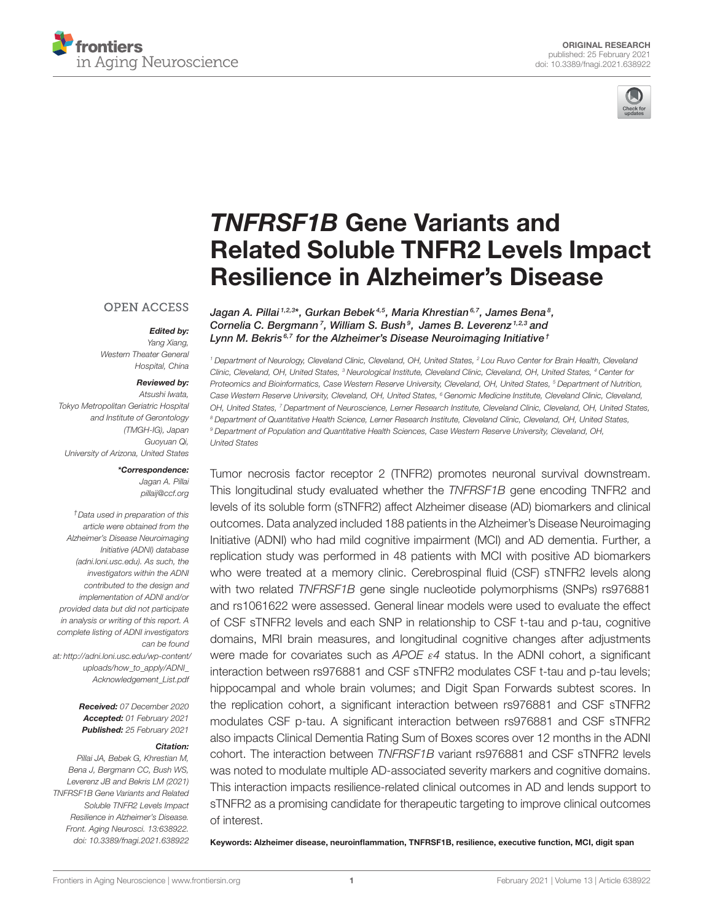



# TNFRSF1B Gene Variants and [Related Soluble TNFR2 Levels Impact](https://www.frontiersin.org/articles/10.3389/fnagi.2021.638922/full) Resilience in Alzheimer's Disease

#### Jagan A. Pillai <sup>1,2,3</sup>\*, Gurkan Bebek <sup>4,5</sup>, Maria Khrestian <sup>6,7</sup>, James Bena <sup>8</sup>, Cornelia C. Bergmann<sup>7</sup>, William S. Bush<sup>9</sup>, James B. Leverenz<sup>1,2,3</sup> and Lynn M. Bekris<sup>6,7</sup> for the Alzheimer's Disease Neuroimaging Initiative<sup>†</sup>

*<sup>1</sup> Department of Neurology, Cleveland Clinic, Cleveland, OH, United States, <sup>2</sup> Lou Ruvo Center for Brain Health, Cleveland Clinic, Cleveland, OH, United States, <sup>3</sup> Neurological Institute, Cleveland Clinic, Cleveland, OH, United States, <sup>4</sup> Center for Proteomics and Bioinformatics, Case Western Reserve University, Cleveland, OH, United States, <sup>5</sup> Department of Nutrition, Case Western Reserve University, Cleveland, OH, United States, <sup>6</sup> Genomic Medicine Institute, Cleveland Clinic, Cleveland, OH, United States, <sup>7</sup> Department of Neuroscience, Lerner Research Institute, Cleveland Clinic, Cleveland, OH, United States, <sup>8</sup> Department of Quantitative Health Science, Lerner Research Institute, Cleveland Clinic, Cleveland, OH, United States, <sup>9</sup> Department of Population and Quantitative Health Sciences, Case Western Reserve University, Cleveland, OH, United States*

Tumor necrosis factor receptor 2 (TNFR2) promotes neuronal survival downstream. This longitudinal study evaluated whether the *TNFRSF1B* gene encoding TNFR2 and levels of its soluble form (sTNFR2) affect Alzheimer disease (AD) biomarkers and clinical outcomes. Data analyzed included 188 patients in the Alzheimer's Disease Neuroimaging Initiative (ADNI) who had mild cognitive impairment (MCI) and AD dementia. Further, a replication study was performed in 48 patients with MCI with positive AD biomarkers who were treated at a memory clinic. Cerebrospinal fluid (CSF) sTNFR2 levels along with two related *TNFRSF1B* gene single nucleotide polymorphisms (SNPs) rs976881 and rs1061622 were assessed. General linear models were used to evaluate the effect of CSF sTNFR2 levels and each SNP in relationship to CSF t-tau and p-tau, cognitive domains, MRI brain measures, and longitudinal cognitive changes after adjustments were made for covariates such as *APOE* ε*4* status. In the ADNI cohort, a significant interaction between rs976881 and CSF sTNFR2 modulates CSF t-tau and p-tau levels; hippocampal and whole brain volumes; and Digit Span Forwards subtest scores. In the replication cohort, a significant interaction between rs976881 and CSF sTNFR2 modulates CSF p-tau. A significant interaction between rs976881 and CSF sTNFR2 also impacts Clinical Dementia Rating Sum of Boxes scores over 12 months in the ADNI cohort. The interaction between *TNFRSF1B* variant rs976881 and CSF sTNFR2 levels was noted to modulate multiple AD-associated severity markers and cognitive domains. This interaction impacts resilience-related clinical outcomes in AD and lends support to sTNFR2 as a promising candidate for therapeutic targeting to improve clinical outcomes of interest.

Keywords: Alzheimer disease, neuroinflammation, TNFRSF1B, resilience, executive function, MCI, digit span

#### **OPEN ACCESS**

Edited by: *Yang Xiang, Western Theater General Hospital, China*

#### Reviewed by:

*Atsushi Iwata, Tokyo Metropolitan Geriatric Hospital and Institute of Gerontology (TMGH-IG), Japan Guoyuan Qi, University of Arizona, United States*

#### \*Correspondence:

*Jagan A. Pillai [pillaij@ccf.org](mailto:pillaij@ccf.org)*

*†Data used in preparation of this article were obtained from the Alzheimer's Disease Neuroimaging Initiative (ADNI) database [\(adni.loni.usc.edu\)](https://www.adni.loni.usc.edu). As such, the investigators within the ADNI contributed to the design and implementation of ADNI and/or provided data but did not participate in analysis or writing of this report. A complete listing of ADNI investigators can be found at: [http://adni.loni.usc.edu/wp-content/](http://adni.loni.usc.edu/wp-content/uploads/how_to_apply/ADNI_Acknowledgement_List.pdf) [uploads/how\\_to\\_apply/ADNI\\_](http://adni.loni.usc.edu/wp-content/uploads/how_to_apply/ADNI_Acknowledgement_List.pdf) [Acknowledgement\\_List.pdf](http://adni.loni.usc.edu/wp-content/uploads/how_to_apply/ADNI_Acknowledgement_List.pdf)*

> Received: *07 December 2020* Accepted: *01 February 2021* Published: *25 February 2021*

#### Citation:

*Pillai JA, Bebek G, Khrestian M, Bena J, Bergmann CC, Bush WS, Leverenz JB and Bekris LM (2021) TNFRSF1B Gene Variants and Related Soluble TNFR2 Levels Impact Resilience in Alzheimer's Disease. Front. Aging Neurosci. 13:638922. doi: [10.3389/fnagi.2021.638922](https://doi.org/10.3389/fnagi.2021.638922)*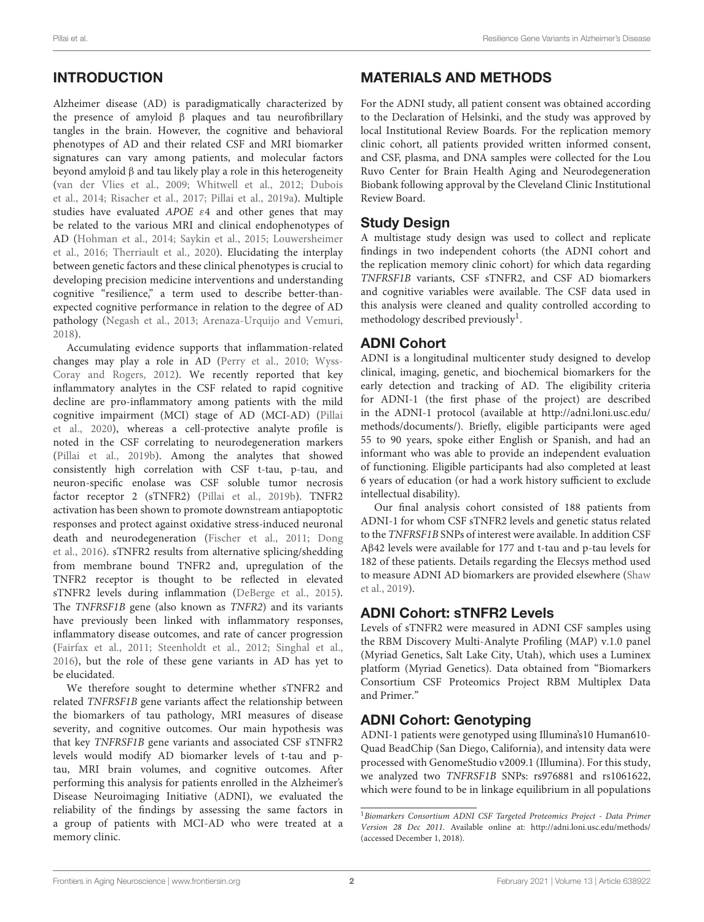# INTRODUCTION

Alzheimer disease (AD) is paradigmatically characterized by the presence of amyloid β plaques and tau neurofibrillary tangles in the brain. However, the cognitive and behavioral phenotypes of AD and their related CSF and MRI biomarker signatures can vary among patients, and molecular factors beyond amyloid β and tau likely play a role in this heterogeneity [\(van der Vlies et al., 2009;](#page-11-0) [Whitwell et al., 2012;](#page-11-1) Dubois et al., [2014;](#page-10-0) [Risacher et al., 2017;](#page-10-1) [Pillai et al., 2019a\)](#page-10-2). Multiple studies have evaluated APOE ε4 and other genes that may be related to the various MRI and clinical endophenotypes of AD [\(Hohman et al., 2014;](#page-10-3) [Saykin et al., 2015;](#page-11-2) Louwersheimer et al., [2016;](#page-10-4) [Therriault et al., 2020\)](#page-11-3). Elucidating the interplay between genetic factors and these clinical phenotypes is crucial to developing precision medicine interventions and understanding cognitive "resilience," a term used to describe better-thanexpected cognitive performance in relation to the degree of AD pathology [\(Negash et al., 2013;](#page-10-5) [Arenaza-Urquijo and Vemuri,](#page-9-0) [2018\)](#page-9-0).

Accumulating evidence supports that inflammation-related changes may play a role in AD [\(Perry et al., 2010;](#page-10-6) Wyss-Coray and Rogers, [2012\)](#page-11-4). We recently reported that key inflammatory analytes in the CSF related to rapid cognitive decline are pro-inflammatory among patients with the mild cognitive impairment (MCI) stage of AD (MCI-AD) (Pillai et al., [2020\)](#page-10-7), whereas a cell-protective analyte profile is noted in the CSF correlating to neurodegeneration markers [\(Pillai et al., 2019b\)](#page-10-8). Among the analytes that showed consistently high correlation with CSF t-tau, p-tau, and neuron-specific enolase was CSF soluble tumor necrosis factor receptor 2 (sTNFR2) [\(Pillai et al., 2019b\)](#page-10-8). TNFR2 activation has been shown to promote downstream antiapoptotic responses and protect against oxidative stress-induced neuronal death and neurodegeneration [\(Fischer et al., 2011;](#page-10-9) Dong et al., [2016\)](#page-10-10). sTNFR2 results from alternative splicing/shedding from membrane bound TNFR2 and, upregulation of the TNFR2 receptor is thought to be reflected in elevated sTNFR2 levels during inflammation [\(DeBerge et al., 2015\)](#page-10-11). The TNFRSF1B gene (also known as TNFR2) and its variants have previously been linked with inflammatory responses, inflammatory disease outcomes, and rate of cancer progression [\(Fairfax et al., 2011;](#page-10-12) [Steenholdt et al., 2012;](#page-11-5) [Singhal et al.,](#page-11-6) [2016\)](#page-11-6), but the role of these gene variants in AD has yet to be elucidated.

We therefore sought to determine whether sTNFR2 and related TNFRSF1B gene variants affect the relationship between the biomarkers of tau pathology, MRI measures of disease severity, and cognitive outcomes. Our main hypothesis was that key TNFRSF1B gene variants and associated CSF sTNFR2 levels would modify AD biomarker levels of t-tau and ptau, MRI brain volumes, and cognitive outcomes. After performing this analysis for patients enrolled in the Alzheimer's Disease Neuroimaging Initiative (ADNI), we evaluated the reliability of the findings by assessing the same factors in a group of patients with MCI-AD who were treated at a memory clinic.

# MATERIALS AND METHODS

For the ADNI study, all patient consent was obtained according to the Declaration of Helsinki, and the study was approved by local Institutional Review Boards. For the replication memory clinic cohort, all patients provided written informed consent, and CSF, plasma, and DNA samples were collected for the Lou Ruvo Center for Brain Health Aging and Neurodegeneration Biobank following approval by the Cleveland Clinic Institutional Review Board.

#### Study Design

A multistage study design was used to collect and replicate findings in two independent cohorts (the ADNI cohort and the replication memory clinic cohort) for which data regarding TNFRSF1B variants, CSF sTNFR2, and CSF AD biomarkers and cognitive variables were available. The CSF data used in this analysis were cleaned and quality controlled according to methodology described previously<sup>[1](#page-1-0)</sup>.

#### ADNI Cohort

ADNI is a longitudinal multicenter study designed to develop clinical, imaging, genetic, and biochemical biomarkers for the early detection and tracking of AD. The eligibility criteria for ADNI-1 (the first phase of the project) are described in the ADNI-1 protocol (available at [http://adni.loni.usc.edu/](http://adni.loni.usc.edu/methods/documents/) [methods/documents/\)](http://adni.loni.usc.edu/methods/documents/). Briefly, eligible participants were aged 55 to 90 years, spoke either English or Spanish, and had an informant who was able to provide an independent evaluation of functioning. Eligible participants had also completed at least 6 years of education (or had a work history sufficient to exclude intellectual disability).

Our final analysis cohort consisted of 188 patients from ADNI-1 for whom CSF sTNFR2 levels and genetic status related to the TNFRSF1B SNPs of interest were available. In addition CSF Aβ42 levels were available for 177 and t-tau and p-tau levels for 182 of these patients. Details regarding the Elecsys method used to measure ADNI AD biomarkers are provided elsewhere (Shaw et al., [2019\)](#page-11-7).

### ADNI Cohort: sTNFR2 Levels

Levels of sTNFR2 were measured in ADNI CSF samples using the RBM Discovery Multi-Analyte Profiling (MAP) v.1.0 panel (Myriad Genetics, Salt Lake City, Utah), which uses a Luminex platform (Myriad Genetics). Data obtained from "Biomarkers Consortium CSF Proteomics Project RBM Multiplex Data and Primer."

### ADNI Cohort: Genotyping

ADNI-1 patients were genotyped using Illumina's10 Human610- Quad BeadChip (San Diego, California), and intensity data were processed with GenomeStudio v2009.1 (Illumina). For this study, we analyzed two TNFRSF1B SNPs: rs976881 and rs1061622, which were found to be in linkage equilibrium in all populations

<span id="page-1-0"></span><sup>&</sup>lt;sup>1</sup> Biomarkers Consortium ADNI CSF Targeted Proteomics Project - Data Primer Version 28 Dec 2011. Available online at:<http://adni.loni.usc.edu/methods/> (accessed December 1, 2018).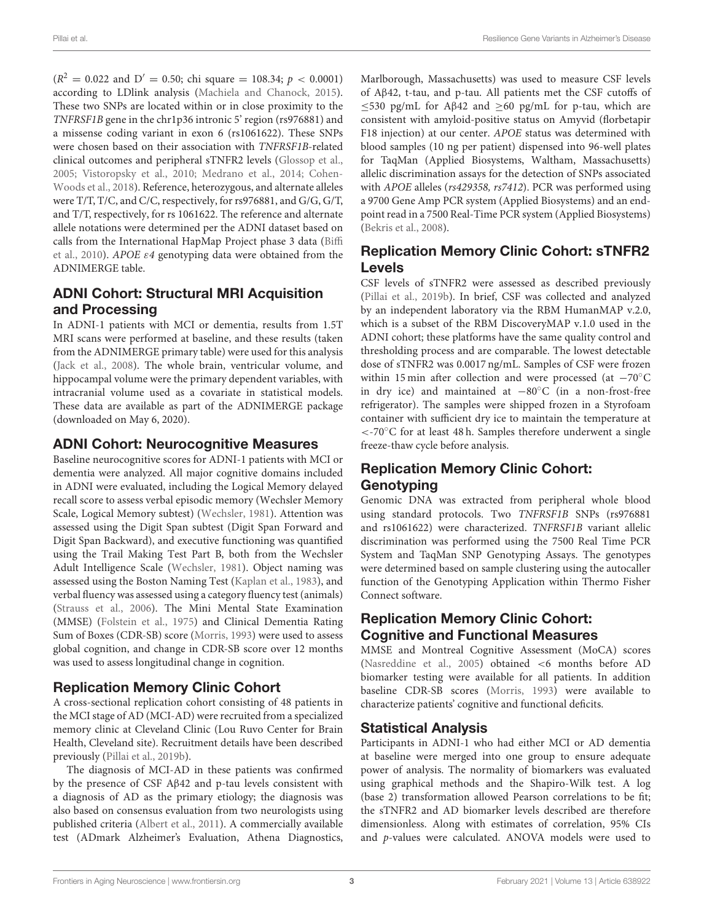$(R^2 = 0.022$  and  $D' = 0.50$ ; chi square = 108.34;  $p < 0.0001$ ) according to LDlink analysis [\(Machiela and Chanock, 2015\)](#page-10-13). These two SNPs are located within or in close proximity to the TNFRSF1B gene in the chr1p36 intronic 5' region (rs976881) and a missense coding variant in exon 6 (rs1061622). These SNPs were chosen based on their association with TNFRSF1B-related clinical outcomes and peripheral sTNFR2 levels [\(Glossop et al.,](#page-10-14) [2005;](#page-10-14) [Vistoropsky et al., 2010;](#page-11-8) [Medrano et al., 2014;](#page-10-15) Cohen-Woods et al., [2018\)](#page-10-16). Reference, heterozygous, and alternate alleles were T/T, T/C, and C/C, respectively, for rs976881, and G/G, G/T, and T/T, respectively, for rs 1061622. The reference and alternate allele notations were determined per the ADNI dataset based on calls from the International HapMap Project phase 3 data (Biffi et al., [2010\)](#page-10-17). APOE  $\varepsilon$ 4 genotyping data were obtained from the ADNIMERGE table.

# ADNI Cohort: Structural MRI Acquisition and Processing

In ADNI-1 patients with MCI or dementia, results from 1.5T MRI scans were performed at baseline, and these results (taken from the ADNIMERGE primary table) were used for this analysis [\(Jack et al., 2008\)](#page-10-18). The whole brain, ventricular volume, and hippocampal volume were the primary dependent variables, with intracranial volume used as a covariate in statistical models. These data are available as part of the ADNIMERGE package (downloaded on May 6, 2020).

#### ADNI Cohort: Neurocognitive Measures

Baseline neurocognitive scores for ADNI-1 patients with MCI or dementia were analyzed. All major cognitive domains included in ADNI were evaluated, including the Logical Memory delayed recall score to assess verbal episodic memory (Wechsler Memory Scale, Logical Memory subtest) [\(Wechsler, 1981\)](#page-11-9). Attention was assessed using the Digit Span subtest (Digit Span Forward and Digit Span Backward), and executive functioning was quantified using the Trail Making Test Part B, both from the Wechsler Adult Intelligence Scale [\(Wechsler, 1981\)](#page-11-9). Object naming was assessed using the Boston Naming Test [\(Kaplan et al., 1983\)](#page-10-19), and verbal fluency was assessed using a category fluency test (animals) [\(Strauss et al., 2006\)](#page-11-10). The Mini Mental State Examination (MMSE) [\(Folstein et al., 1975\)](#page-10-20) and Clinical Dementia Rating Sum of Boxes (CDR-SB) score [\(Morris, 1993\)](#page-10-21) were used to assess global cognition, and change in CDR-SB score over 12 months was used to assess longitudinal change in cognition.

### Replication Memory Clinic Cohort

A cross-sectional replication cohort consisting of 48 patients in the MCI stage of AD (MCI-AD) were recruited from a specialized memory clinic at Cleveland Clinic (Lou Ruvo Center for Brain Health, Cleveland site). Recruitment details have been described previously [\(Pillai et al., 2019b\)](#page-10-8).

The diagnosis of MCI-AD in these patients was confirmed by the presence of CSF Aβ42 and p-tau levels consistent with a diagnosis of AD as the primary etiology; the diagnosis was also based on consensus evaluation from two neurologists using published criteria [\(Albert et al., 2011\)](#page-9-1). A commercially available test (ADmark Alzheimer's Evaluation, Athena Diagnostics, Marlborough, Massachusetts) was used to measure CSF levels of Aβ42, t-tau, and p-tau. All patients met the CSF cutoffs of  $≤$ 530 pg/mL for Aβ42 and  $≥$ 60 pg/mL for p-tau, which are consistent with amyloid-positive status on Amyvid (florbetapir F18 injection) at our center. APOE status was determined with blood samples (10 ng per patient) dispensed into 96-well plates for TaqMan (Applied Biosystems, Waltham, Massachusetts) allelic discrimination assays for the detection of SNPs associated with APOE alleles (rs429358, rs7412). PCR was performed using a 9700 Gene Amp PCR system (Applied Biosystems) and an endpoint read in a 7500 Real-Time PCR system (Applied Biosystems) [\(Bekris et al., 2008\)](#page-10-22).

# Replication Memory Clinic Cohort: sTNFR2 Levels

CSF levels of sTNFR2 were assessed as described previously [\(Pillai et al., 2019b\)](#page-10-8). In brief, CSF was collected and analyzed by an independent laboratory via the RBM HumanMAP v.2.0, which is a subset of the RBM DiscoveryMAP v.1.0 used in the ADNI cohort; these platforms have the same quality control and thresholding process and are comparable. The lowest detectable dose of sTNFR2 was 0.0017 ng/mL. Samples of CSF were frozen within 15 min after collection and were processed (at −70°C in dry ice) and maintained at −80◦C (in a non-frost-free refrigerator). The samples were shipped frozen in a Styrofoam container with sufficient dry ice to maintain the temperature at <-70◦C for at least 48 h. Samples therefore underwent a single freeze-thaw cycle before analysis.

# Replication Memory Clinic Cohort: **Genotyping**

Genomic DNA was extracted from peripheral whole blood using standard protocols. Two TNFRSF1B SNPs (rs976881 and rs1061622) were characterized. TNFRSF1B variant allelic discrimination was performed using the 7500 Real Time PCR System and TaqMan SNP Genotyping Assays. The genotypes were determined based on sample clustering using the autocaller function of the Genotyping Application within Thermo Fisher Connect software.

# Replication Memory Clinic Cohort: Cognitive and Functional Measures

MMSE and Montreal Cognitive Assessment (MoCA) scores [\(Nasreddine et al., 2005\)](#page-10-23) obtained <6 months before AD biomarker testing were available for all patients. In addition baseline CDR-SB scores [\(Morris, 1993\)](#page-10-21) were available to characterize patients' cognitive and functional deficits.

### Statistical Analysis

Participants in ADNI-1 who had either MCI or AD dementia at baseline were merged into one group to ensure adequate power of analysis. The normality of biomarkers was evaluated using graphical methods and the Shapiro-Wilk test. A log (base 2) transformation allowed Pearson correlations to be fit; the sTNFR2 and AD biomarker levels described are therefore dimensionless. Along with estimates of correlation, 95% CIs and p-values were calculated. ANOVA models were used to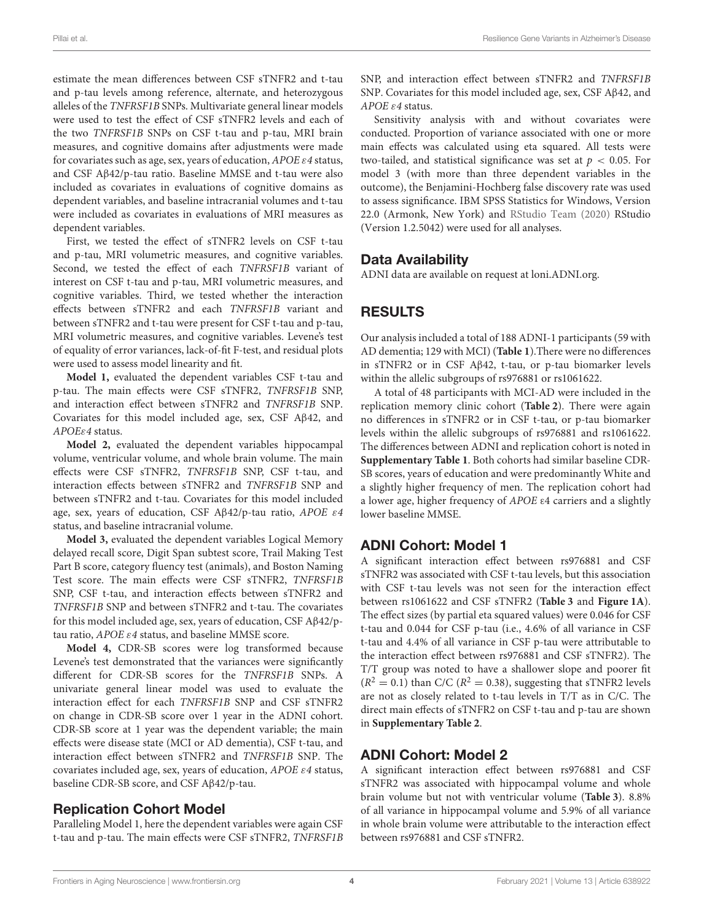estimate the mean differences between CSF sTNFR2 and t-tau and p-tau levels among reference, alternate, and heterozygous alleles of the TNFRSF1B SNPs. Multivariate general linear models were used to test the effect of CSF sTNFR2 levels and each of the two TNFRSF1B SNPs on CSF t-tau and p-tau, MRI brain measures, and cognitive domains after adjustments were made for covariates such as age, sex, years of education,  $APOE \varepsilon 4$  status, and CSF Aβ42/p-tau ratio. Baseline MMSE and t-tau were also included as covariates in evaluations of cognitive domains as dependent variables, and baseline intracranial volumes and t-tau were included as covariates in evaluations of MRI measures as dependent variables.

First, we tested the effect of sTNFR2 levels on CSF t-tau and p-tau, MRI volumetric measures, and cognitive variables. Second, we tested the effect of each TNFRSF1B variant of interest on CSF t-tau and p-tau, MRI volumetric measures, and cognitive variables. Third, we tested whether the interaction effects between sTNFR2 and each TNFRSF1B variant and between sTNFR2 and t-tau were present for CSF t-tau and p-tau, MRI volumetric measures, and cognitive variables. Levene's test of equality of error variances, lack-of-fit F-test, and residual plots were used to assess model linearity and fit.

**Model 1,** evaluated the dependent variables CSF t-tau and p-tau. The main effects were CSF sTNFR2, TNFRSF1B SNP, and interaction effect between sTNFR2 and TNFRSF1B SNP. Covariates for this model included age, sex, CSF Aβ42, and APOEε4 status.

**Model 2,** evaluated the dependent variables hippocampal volume, ventricular volume, and whole brain volume. The main effects were CSF sTNFR2, TNFRSF1B SNP, CSF t-tau, and interaction effects between sTNFR2 and TNFRSF1B SNP and between sTNFR2 and t-tau. Covariates for this model included age, sex, years of education, CSF Aβ42/p-tau ratio, APOE ε4 status, and baseline intracranial volume.

**Model 3,** evaluated the dependent variables Logical Memory delayed recall score, Digit Span subtest score, Trail Making Test Part B score, category fluency test (animals), and Boston Naming Test score. The main effects were CSF sTNFR2, TNFRSF1B SNP, CSF t-tau, and interaction effects between sTNFR2 and TNFRSF1B SNP and between sTNFR2 and t-tau. The covariates for this model included age, sex, years of education, CSF Aβ42/ptau ratio, APOE ε4 status, and baseline MMSE score.

**Model 4,** CDR-SB scores were log transformed because Levene's test demonstrated that the variances were significantly different for CDR-SB scores for the TNFRSF1B SNPs. A univariate general linear model was used to evaluate the interaction effect for each TNFRSF1B SNP and CSF sTNFR2 on change in CDR-SB score over 1 year in the ADNI cohort. CDR-SB score at 1 year was the dependent variable; the main effects were disease state (MCI or AD dementia), CSF t-tau, and interaction effect between sTNFR2 and TNFRSF1B SNP. The covariates included age, sex, years of education,  $APOE \varepsilon 4$  status, baseline CDR-SB score, and CSF Aβ42/p-tau.

# Replication Cohort Model

Paralleling Model 1, here the dependent variables were again CSF t-tau and p-tau. The main effects were CSF sTNFR2, TNFRSF1B SNP, and interaction effect between sTNFR2 and TNFRSF1B SNP. Covariates for this model included age, sex, CSF Aβ42, and APOE ε4 status.

Sensitivity analysis with and without covariates were conducted. Proportion of variance associated with one or more main effects was calculated using eta squared. All tests were two-tailed, and statistical significance was set at  $p < 0.05$ . For model 3 (with more than three dependent variables in the outcome), the Benjamini-Hochberg false discovery rate was used to assess significance. IBM SPSS Statistics for Windows, Version 22.0 (Armonk, New York) and [RStudio Team \(2020\)](#page-10-24) RStudio (Version 1.2.5042) were used for all analyses.

# Data Availability

ADNI data are available on request at [loni.ADNI.org.](https://www.loni.ADNI.org)

# RESULTS

Our analysis included a total of 188 ADNI-1 participants (59 with AD dementia; 129 with MCI) (**[Table 1](#page-4-0)**).There were no differences in sTNFR2 or in CSF Aβ42, t-tau, or p-tau biomarker levels within the allelic subgroups of rs976881 or rs1061622.

A total of 48 participants with MCI-AD were included in the replication memory clinic cohort (**[Table 2](#page-5-0)**). There were again no differences in sTNFR2 or in CSF t-tau, or p-tau biomarker levels within the allelic subgroups of rs976881 and rs1061622. The differences between ADNI and replication cohort is noted in **[Supplementary Table 1](#page-9-2)**. Both cohorts had similar baseline CDR-SB scores, years of education and were predominantly White and a slightly higher frequency of men. The replication cohort had a lower age, higher frequency of APOE ε4 carriers and a slightly lower baseline MMSE.

# ADNI Cohort: Model 1

A significant interaction effect between rs976881 and CSF sTNFR2 was associated with CSF t-tau levels, but this association with CSF t-tau levels was not seen for the interaction effect between rs1061622 and CSF sTNFR2 (**[Table 3](#page-6-0)** and **[Figure 1A](#page-6-1)**). The effect sizes (by partial eta squared values) were 0.046 for CSF t-tau and 0.044 for CSF p-tau (i.e., 4.6% of all variance in CSF t-tau and 4.4% of all variance in CSF p-tau were attributable to the interaction effect between rs976881 and CSF sTNFR2). The T/T group was noted to have a shallower slope and poorer fit  $(R^2 = 0.1)$  than C/C ( $R^2 = 0.38$ ), suggesting that sTNFR2 levels are not as closely related to t-tau levels in T/T as in C/C. The direct main effects of sTNFR2 on CSF t-tau and p-tau are shown in **[Supplementary Table 2](#page-9-2)**.

# ADNI Cohort: Model 2

A significant interaction effect between rs976881 and CSF sTNFR2 was associated with hippocampal volume and whole brain volume but not with ventricular volume (**[Table 3](#page-6-0)**). 8.8% of all variance in hippocampal volume and 5.9% of all variance in whole brain volume were attributable to the interaction effect between rs976881 and CSF sTNFR2.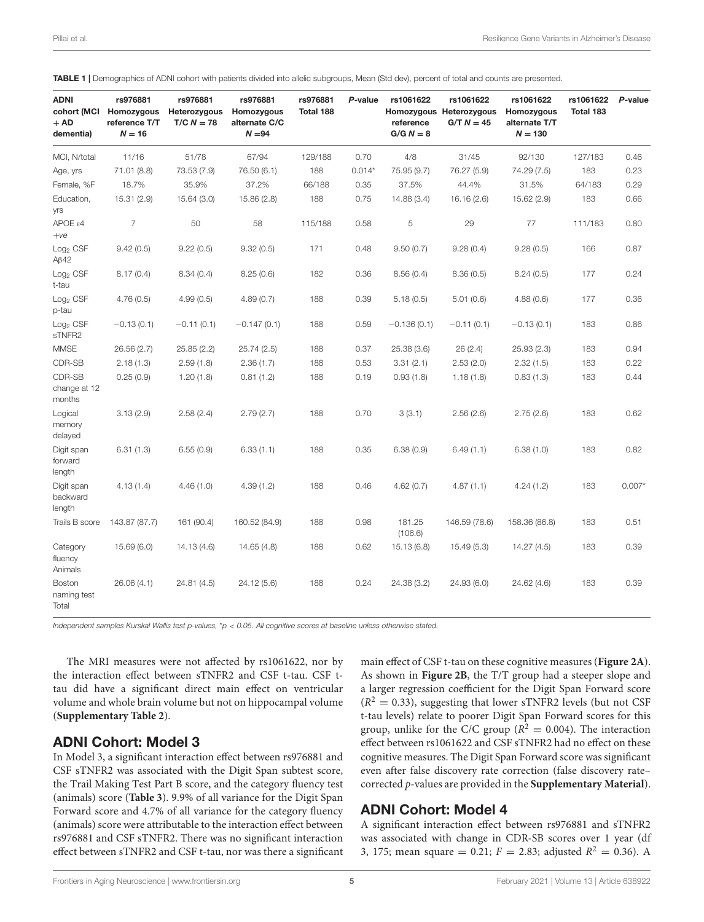| <b>ADNI</b><br>cohort (MCI<br>$+$ AD<br>dementia) | rs976881<br>Homozygous<br>reference T/T<br>$N = 16$ | rs976881<br>Heterozygous<br>$T/C N = 78$ | rs976881<br>Homozygous<br>alternate C/C<br>$N = 94$ | rs976881<br>Total 188 | P-value  | rs1061622<br>reference<br>$G/G N = 8$ | rs1061622<br>Homozygous Heterozygous<br>$G/T N = 45$ | rs1061622<br>Homozygous<br>alternate T/T<br>$N = 130$ | rs1061622<br>Total 183 | P-value  |
|---------------------------------------------------|-----------------------------------------------------|------------------------------------------|-----------------------------------------------------|-----------------------|----------|---------------------------------------|------------------------------------------------------|-------------------------------------------------------|------------------------|----------|
| MCI, N/total                                      | 11/16                                               | 51/78                                    | 67/94                                               | 129/188               | 0.70     | 4/8                                   | 31/45                                                | 92/130                                                | 127/183                | 0.46     |
| Age, yrs                                          | 71.01 (8.8)                                         | 73.53 (7.9)                              | 76.50 (6.1)                                         | 188                   | $0.014*$ | 75.95 (9.7)                           | 76.27 (5.9)                                          | 74.29 (7.5)                                           | 183                    | 0.23     |
| Female, %F                                        | 18.7%                                               | 35.9%                                    | 37.2%                                               | 66/188                | 0.35     | 37.5%                                 | 44.4%                                                | 31.5%                                                 | 64/183                 | 0.29     |
| Education,<br><b>Vrs</b>                          | 15.31 (2.9)                                         | 15.64 (3.0)                              | 15.86 (2.8)                                         | 188                   | 0.75     | 14.88 (3.4)                           | 16.16 (2.6)                                          | 15.62 (2.9)                                           | 183                    | 0.66     |
| APOEE4<br>$+ve$                                   | $\overline{7}$                                      | 50                                       | 58                                                  | 115/188               | 0.58     | 5                                     | 29                                                   | 77                                                    | 111/183                | 0.80     |
| Log <sub>2</sub> CSF<br>$A\beta$ 42               | 9.42(0.5)                                           | 9.22(0.5)                                | 9.32(0.5)                                           | 171                   | 0.48     | 9.50(0.7)                             | 9.28(0.4)                                            | 9.28(0.5)                                             | 166                    | 0.87     |
| Log <sub>2</sub> CSF<br>t-tau                     | 8.17(0.4)                                           | 8.34(0.4)                                | 8.25(0.6)                                           | 182                   | 0.36     | 8.56(0.4)                             | 8.36(0.5)                                            | 8.24(0.5)                                             | 177                    | 0.24     |
| $Log2$ CSF<br>p-tau                               | 4.76(0.5)                                           | 4.99(0.5)                                | 4.89(0.7)                                           | 188                   | 0.39     | 5.18(0.5)                             | 5.01(0.6)                                            | 4.88(0.6)                                             | 177                    | 0.36     |
| Log <sub>2</sub> CSF<br>sTNFR2                    | $-0.13(0.1)$                                        | $-0.11(0.1)$                             | $-0.147(0.1)$                                       | 188                   | 0.59     | $-0.136(0.1)$                         | $-0.11(0.1)$                                         | $-0.13(0.1)$                                          | 183                    | 0.86     |
| <b>MMSE</b>                                       | 26.56(2.7)                                          | 25.85(2.2)                               | 25.74(2.5)                                          | 188                   | 0.37     | 25.38(3.6)                            | 26 (2.4)                                             | 25.93 (2.3)                                           | 183                    | 0.94     |
| CDR-SB                                            | 2.18(1.3)                                           | 2.59(1.8)                                | 2.36(1.7)                                           | 188                   | 0.53     | 3.31(2.1)                             | 2.53(2.0)                                            | 2.32(1.5)                                             | 183                    | 0.22     |
| CDR-SB<br>change at 12<br>months                  | 0.25(0.9)                                           | 1.20(1.8)                                | 0.81(1.2)                                           | 188                   | 0.19     | 0.93(1.8)                             | 1.18(1.8)                                            | 0.83(1.3)                                             | 183                    | 0.44     |
| Logical<br>memory<br>delayed                      | 3.13(2.9)                                           | 2.58(2.4)                                | 2.79(2.7)                                           | 188                   | 0.70     | 3(3.1)                                | 2.56(2.6)                                            | 2.75(2.6)                                             | 183                    | 0.62     |
| Digit span<br>forward<br>length                   | 6.31(1.3)                                           | 6.55(0.9)                                | 6.33(1.1)                                           | 188                   | 0.35     | 6.38(0.9)                             | 6.49(1.1)                                            | 6.38(1.0)                                             | 183                    | 0.82     |
| Digit span<br>backward<br>length                  | 4.13(1.4)                                           | 4.46(1.0)                                | 4.39(1.2)                                           | 188                   | 0.46     | 4.62(0.7)                             | 4.87(1.1)                                            | 4.24(1.2)                                             | 183                    | $0.007*$ |
| Trails B score                                    | 143.87 (87.7)                                       | 161 (90.4)                               | 160.52 (84.9)                                       | 188                   | 0.98     | 181.25<br>(106.6)                     | 146.59 (78.6)                                        | 158.36 (86.8)                                         | 183                    | 0.51     |
| Category<br>fluency<br>Animals                    | 15.69(6.0)                                          | 14.13 (4.6)                              | 14.65(4.8)                                          | 188                   | 0.62     | 15.13(6.8)                            | 15.49(5.3)                                           | 14.27 (4.5)                                           | 183                    | 0.39     |
| Boston<br>naming test<br>Total                    | 26.06(4.1)                                          | 24.81 (4.5)                              | 24.12 (5.6)                                         | 188                   | 0.24     | 24.38 (3.2)                           | 24.93 (6.0)                                          | 24.62 (4.6)                                           | 183                    | 0.39     |

<span id="page-4-0"></span>TABLE 1 | Demographics of ADNI cohort with patients divided into allelic subgroups, Mean (Std dev), percent of total and counts are presented.

*Independent samples Kurskal Wallis test p-values,* \**p* < *0.05. All cognitive scores at baseline unless otherwise stated.*

The MRI measures were not affected by rs1061622, nor by the interaction effect between sTNFR2 and CSF t-tau. CSF ttau did have a significant direct main effect on ventricular volume and whole brain volume but not on hippocampal volume (**[Supplementary Table 2](#page-9-2)**).

#### ADNI Cohort: Model 3

In Model 3, a significant interaction effect between rs976881 and CSF sTNFR2 was associated with the Digit Span subtest score, the Trail Making Test Part B score, and the category fluency test (animals) score (**[Table 3](#page-6-0)**). 9.9% of all variance for the Digit Span Forward score and 4.7% of all variance for the category fluency (animals) score were attributable to the interaction effect between rs976881 and CSF sTNFR2. There was no significant interaction effect between sTNFR2 and CSF t-tau, nor was there a significant main effect of CSF t-tau on these cognitive measures (**[Figure 2A](#page-7-0)**). As shown in **[Figure 2B](#page-7-0)**, the T/T group had a steeper slope and a larger regression coefficient for the Digit Span Forward score  $(R<sup>2</sup> = 0.33)$ , suggesting that lower sTNFR2 levels (but not CSF t-tau levels) relate to poorer Digit Span Forward scores for this group, unlike for the C/C group ( $R^2 = 0.004$ ). The interaction effect between rs1061622 and CSF sTNFR2 had no effect on these cognitive measures. The Digit Span Forward score was significant even after false discovery rate correction (false discovery rate– corrected p-values are provided in the **[Supplementary Material](#page-9-2)**).

#### ADNI Cohort: Model 4

A significant interaction effect between rs976881 and sTNFR2 was associated with change in CDR-SB scores over 1 year (df 3, 175; mean square = 0.21;  $F = 2.83$ ; adjusted  $R^2 = 0.36$ ). A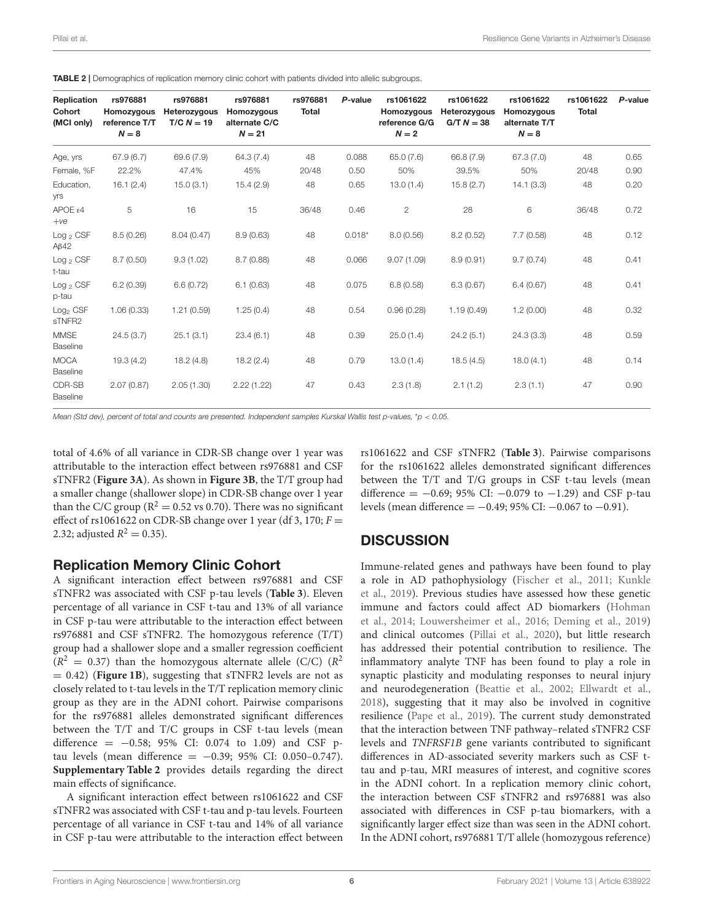| Replication<br>Cohort<br>(MCI only) | rs976881<br>Homozygous<br>reference T/T<br>$N = 8$ | rs976881<br>Heterozygous<br>$T/C N = 19$ | rs976881<br>Homozygous<br>alternate C/C<br>$N = 21$ | rs976881<br><b>Total</b> | P-value  | rs1061622<br>Homozygous<br>reference G/G<br>$N = 2$ | rs1061622<br>Heterozygous<br>$G/T N = 38$ | rs1061622<br>Homozygous<br>alternate T/T<br>$N = 8$ | rs1061622<br><b>Total</b> | P-value |
|-------------------------------------|----------------------------------------------------|------------------------------------------|-----------------------------------------------------|--------------------------|----------|-----------------------------------------------------|-------------------------------------------|-----------------------------------------------------|---------------------------|---------|
| Age, yrs                            | 67.9(6.7)                                          | 69.6 (7.9)                               | 64.3 (7.4)                                          | 48                       | 0.088    | 65.0 (7.6)                                          | 66.8 (7.9)                                | 67.3 (7.0)                                          | 48                        | 0.65    |
| Female, %F                          | 22.2%                                              | 47.4%                                    | 45%                                                 | 20/48                    | 0.50     | 50%                                                 | 39.5%                                     | 50%                                                 | 20/48                     | 0.90    |
| Education,<br><b>Vrs</b>            | 16.1(2.4)                                          | 15.0(3.1)                                | 15.4(2.9)                                           | 48                       | 0.65     | 13.0(1.4)                                           | 15.8(2.7)                                 | 14.1(3.3)                                           | 48                        | 0.20    |
| APOEE4<br>$+ve$                     | 5                                                  | 16                                       | 15                                                  | 36/48                    | 0.46     | $\mathbf{2}$                                        | 28                                        | 6                                                   | 36/48                     | 0.72    |
| Log <sub>2</sub> CSF<br>$A\beta$ 42 | 8.5(0.26)                                          | 8.04(0.47)                               | 8.9(0.63)                                           | 48                       | $0.018*$ | 8.0(0.56)                                           | 8.2(0.52)                                 | 7.7(0.58)                                           | 48                        | 0.12    |
| $Log_2$ CSF<br>t-tau                | 8.7(0.50)                                          | 9.3(1.02)                                | 8.7(0.88)                                           | 48                       | 0.066    | 9.07(1.09)                                          | 8.9(0.91)                                 | 9.7(0.74)                                           | 48                        | 0.41    |
| $Log_2$ CSF<br>p-tau                | 6.2(0.39)                                          | 6.6(0.72)                                | 6.1(0.63)                                           | 48                       | 0.075    | 6.8(0.58)                                           | 6.3(0.67)                                 | 6.4(0.67)                                           | 48                        | 0.41    |
| $Log2$ CSF<br>sTNFR2                | 1.06(0.33)                                         | 1.21(0.59)                               | 1.25(0.4)                                           | 48                       | 0.54     | 0.96(0.28)                                          | 1.19(0.49)                                | 1.2(0.00)                                           | 48                        | 0.32    |
| <b>MMSE</b><br>Baseline             | 24.5(3.7)                                          | 25.1(3.1)                                | 23.4(6.1)                                           | 48                       | 0.39     | 25.0(1.4)                                           | 24.2(5.1)                                 | 24.3(3.3)                                           | 48                        | 0.59    |
| <b>MOCA</b><br>Baseline             | 19.3(4.2)                                          | 18.2(4.8)                                | 18.2(2.4)                                           | 48                       | 0.79     | 13.0(1.4)                                           | 18.5(4.5)                                 | 18.0(4.1)                                           | 48                        | 0.14    |
| CDR-SB<br>Baseline                  | 2.07(0.87)                                         | 2.05(1.30)                               | 2.22(1.22)                                          | 47                       | 0.43     | 2.3(1.8)                                            | 2.1(1.2)                                  | 2.3(1.1)                                            | 47                        | 0.90    |

<span id="page-5-0"></span>TABLE 2 | Demographics of replication memory clinic cohort with patients divided into allelic subgroups.

*Mean (Std dev), percent of total and counts are presented. Independent samples Kurskal Wallis test p-values,* \**p* < *0.05.*

total of 4.6% of all variance in CDR-SB change over 1 year was attributable to the interaction effect between rs976881 and CSF sTNFR2 (**[Figure 3A](#page-7-1)**). As shown in **[Figure 3B](#page-7-1)**, the T/T group had a smaller change (shallower slope) in CDR-SB change over 1 year than the C/C group ( $R^2 = 0.52$  vs 0.70). There was no significant effect of rs1061622 on CDR-SB change over 1 year (df 3, 170;  $F =$ 2.32; adjusted  $R^2 = 0.35$ ).

#### Replication Memory Clinic Cohort

A significant interaction effect between rs976881 and CSF sTNFR2 was associated with CSF p-tau levels (**[Table 3](#page-6-0)**). Eleven percentage of all variance in CSF t-tau and 13% of all variance in CSF p-tau were attributable to the interaction effect between rs976881 and CSF sTNFR2. The homozygous reference (T/T) group had a shallower slope and a smaller regression coefficient  $(R^2 = 0.37)$  than the homozygous alternate allele (C/C) ( $R^2$  $= 0.42$ ) (**[Figure 1B](#page-6-1)**), suggesting that sTNFR2 levels are not as closely related to t-tau levels in the T/T replication memory clinic group as they are in the ADNI cohort. Pairwise comparisons for the rs976881 alleles demonstrated significant differences between the T/T and T/C groups in CSF t-tau levels (mean difference =  $-0.58$ ; 95% CI: 0.074 to 1.09) and CSF ptau levels (mean difference =  $-0.39$ ; 95% CI: 0.050-0.747). **[Supplementary Table 2](#page-9-2)** provides details regarding the direct main effects of significance.

A significant interaction effect between rs1061622 and CSF sTNFR2 was associated with CSF t-tau and p-tau levels. Fourteen percentage of all variance in CSF t-tau and 14% of all variance in CSF p-tau were attributable to the interaction effect between rs1061622 and CSF sTNFR2 (**[Table 3](#page-6-0)**). Pairwise comparisons for the rs1061622 alleles demonstrated significant differences between the T/T and T/G groups in CSF t-tau levels (mean difference =  $-0.69$ ; 95% CI:  $-0.079$  to  $-1.29$ ) and CSF p-tau levels (mean difference = −0.49; 95% CI: −0.067 to −0.91).

#### **DISCUSSION**

Immune-related genes and pathways have been found to play a role in AD pathophysiology [\(Fischer et al., 2011;](#page-10-9) Kunkle et al., [2019\)](#page-10-25). Previous studies have assessed how these genetic immune and factors could affect AD biomarkers (Hohman et al., [2014;](#page-10-3) [Louwersheimer et al., 2016;](#page-10-4) [Deming et al., 2019\)](#page-10-26) and clinical outcomes [\(Pillai et al., 2020\)](#page-10-7), but little research has addressed their potential contribution to resilience. The inflammatory analyte TNF has been found to play a role in synaptic plasticity and modulating responses to neural injury and neurodegeneration [\(Beattie et al., 2002;](#page-10-27) [Ellwardt et al.,](#page-10-28) [2018\)](#page-10-28), suggesting that it may also be involved in cognitive resilience [\(Pape et al., 2019\)](#page-10-29). The current study demonstrated that the interaction between TNF pathway–related sTNFR2 CSF levels and TNFRSF1B gene variants contributed to significant differences in AD-associated severity markers such as CSF ttau and p-tau, MRI measures of interest, and cognitive scores in the ADNI cohort. In a replication memory clinic cohort, the interaction between CSF sTNFR2 and rs976881 was also associated with differences in CSF p-tau biomarkers, with a significantly larger effect size than was seen in the ADNI cohort. In the ADNI cohort, rs976881 T/T allele (homozygous reference)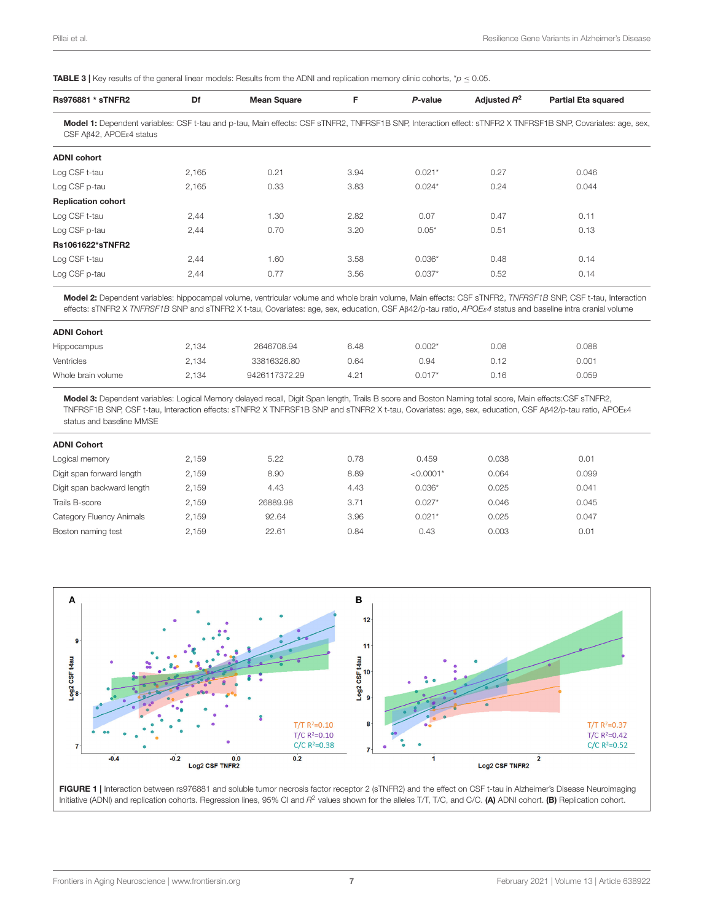<span id="page-6-0"></span>**TABLE 3** | Key results of the general linear models: Results from the ADNI and replication memory clinic cohorts,  $\dot{\gamma}$   $\leq$  0.05.

| <b>Rs976881 * sTNFR2</b>            | Df    | <b>Mean Square</b> | F    | P-value  | Adjusted $R^2$ | <b>Partial Eta squared</b>                                                                                                                                  |
|-------------------------------------|-------|--------------------|------|----------|----------------|-------------------------------------------------------------------------------------------------------------------------------------------------------------|
| CSF AB42, APOE <sub>84</sub> status |       |                    |      |          |                | Model 1: Dependent variables: CSF t-tau and p-tau, Main effects: CSF sTNFR2, TNFRSF1B SNP, Interaction effect: sTNFR2 X TNFRSF1B SNP, Covariates: age, sex, |
| <b>ADNI cohort</b>                  |       |                    |      |          |                |                                                                                                                                                             |
| Log CSF t-tau                       | 2,165 | 0.21               | 3.94 | $0.021*$ | 0.27           | 0.046                                                                                                                                                       |
| Log CSF p-tau                       | 2.165 | 0.33               | 3.83 | $0.024*$ | 0.24           | 0.044                                                                                                                                                       |
| <b>Replication cohort</b>           |       |                    |      |          |                |                                                                                                                                                             |
| Log CSF t-tau                       | 2,44  | 1.30               | 2.82 | 0.07     | 0.47           | 0.11                                                                                                                                                        |
| Log CSF p-tau                       | 2,44  | 0.70               | 3.20 | $0.05*$  | 0.51           | 0.13                                                                                                                                                        |
| <b>Rs1061622*sTNFR2</b>             |       |                    |      |          |                |                                                                                                                                                             |
| Log CSF t-tau                       | 2,44  | 1.60               | 3.58 | $0.036*$ | 0.48           | 0.14                                                                                                                                                        |
| Log CSF p-tau                       | 2,44  | 0.77               | 3.56 | $0.037*$ | 0.52           | 0.14                                                                                                                                                        |
|                                     |       |                    |      |          |                |                                                                                                                                                             |

Model 2: Dependent variables: hippocampal volume, ventricular volume and whole brain volume, Main effects: CSF sTNFR2, *TNFRSF1B* SNP, CSF t-tau, Interaction effects: sTNFR2 X *TNFRSF1B* SNP and sTNFR2 X t-tau, Covariates: age, sex, education, CSF Aβ42/p-tau ratio, *APOE*ε*4* status and baseline intra cranial volume

| 2.134 | 2646708.94    | 6.48 | $0.002*$ | 0.08 | 0.088 |
|-------|---------------|------|----------|------|-------|
| 2.134 | 33816326.80   | 0.64 | 0.94     | 0.12 | 0.001 |
| 2,134 | 9426117372.29 | 4.21 | $0.017*$ | 0.16 | 0.059 |
|       |               |      |          |      |       |

Model 3: Dependent variables: Logical Memory delayed recall, Digit Span length, Trails B score and Boston Naming total score, Main effects:CSF sTNFR2, TNFRSF1B SNP, CSF t-tau, Interaction effects: sTNFR2 X TNFRSF1B SNP and sTNFR2 X t-tau, Covariates: age, sex, education, CSF Aβ42/p-tau ratio, APOEε4 status and baseline MMSE

| <b>ADNI Cohort</b>         |       |          |      |             |       |       |
|----------------------------|-------|----------|------|-------------|-------|-------|
| Logical memory             | 2.159 | 5.22     | 0.78 | 0.459       | 0.038 | 0.01  |
| Digit span forward length  | 2.159 | 8.90     | 8.89 | $< 0.0001*$ | 0.064 | 0.099 |
| Digit span backward length | 2,159 | 4.43     | 4.43 | $0.036*$    | 0.025 | 0.041 |
| Trails B-score             | 2.159 | 26889.98 | 3.71 | $0.027*$    | 0.046 | 0.045 |
| Category Fluency Animals   | 2.159 | 92.64    | 3.96 | $0.021*$    | 0.025 | 0.047 |
| Boston naming test         | 2.159 | 22.61    | 0.84 | 0.43        | 0.003 | 0.01  |
|                            |       |          |      |             |       |       |



<span id="page-6-1"></span>FIGURE 1 | Interaction between rs976881 and soluble tumor necrosis factor receptor 2 (sTNFR2) and the effect on CSF t-tau in Alzheimer's Disease Neuroimaging Initiative (ADNI) and replication cohorts. Regression lines, 95% CI and R<sup>2</sup> values shown for the alleles T/T, T/C, and C/C. (A) ADNI cohort. (B) Replication cohort.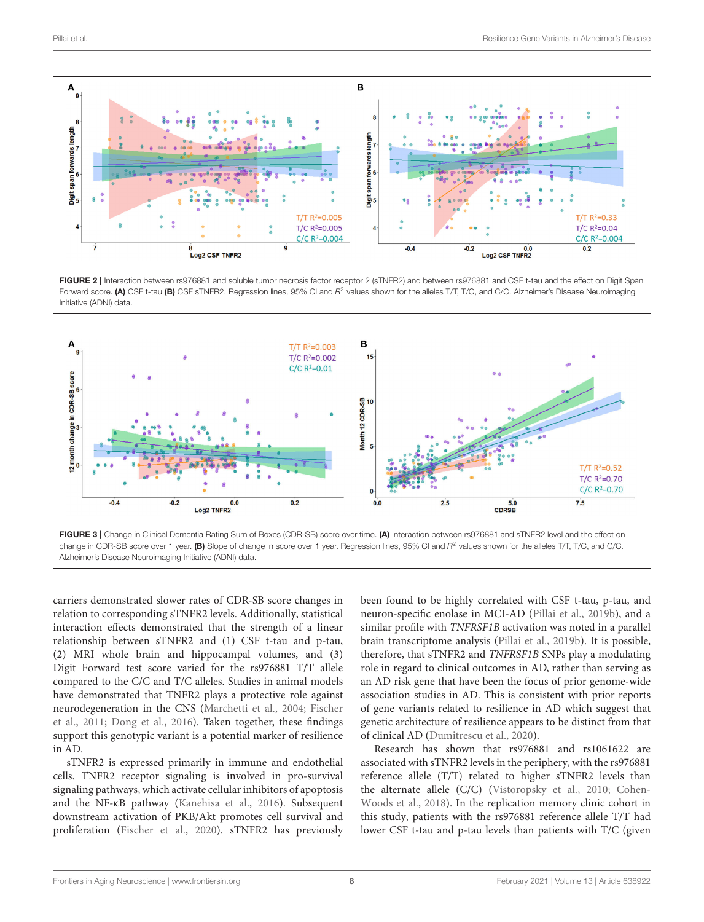

<span id="page-7-0"></span>FIGURE 2 | Interaction between rs976881 and soluble tumor necrosis factor receptor 2 (sTNFR2) and between rs976881 and CSF t-tau and the effect on Digit Span Forward score. (A) CSF t-tau (B) CSF sTNFR2. Regression lines, 95% CI and R<sup>2</sup> values shown for the alleles T/T, T/C, and C/C. Alzheimer's Disease Neuroimaging Initiative (ADNI) data.



<span id="page-7-1"></span>carriers demonstrated slower rates of CDR-SB score changes in relation to corresponding sTNFR2 levels. Additionally, statistical interaction effects demonstrated that the strength of a linear relationship between sTNFR2 and (1) CSF t-tau and p-tau, (2) MRI whole brain and hippocampal volumes, and (3) Digit Forward test score varied for the rs976881 T/T allele compared to the C/C and T/C alleles. Studies in animal models have demonstrated that TNFR2 plays a protective role against neurodegeneration in the CNS [\(Marchetti et al., 2004;](#page-10-30) Fischer et al., [2011;](#page-10-9) [Dong et al., 2016\)](#page-10-10). Taken together, these findings support this genotypic variant is a potential marker of resilience in AD.

sTNFR2 is expressed primarily in immune and endothelial cells. TNFR2 receptor signaling is involved in pro-survival signaling pathways, which activate cellular inhibitors of apoptosis and the NF-κB pathway [\(Kanehisa et al., 2016\)](#page-10-31). Subsequent downstream activation of PKB/Akt promotes cell survival and proliferation [\(Fischer et al., 2020\)](#page-10-32). sTNFR2 has previously been found to be highly correlated with CSF t-tau, p-tau, and neuron-specific enolase in MCI-AD [\(Pillai et al., 2019b\)](#page-10-8), and a similar profile with TNFRSF1B activation was noted in a parallel brain transcriptome analysis [\(Pillai et al., 2019b\)](#page-10-8). It is possible, therefore, that sTNFR2 and TNFRSF1B SNPs play a modulating role in regard to clinical outcomes in AD, rather than serving as an AD risk gene that have been the focus of prior genome-wide association studies in AD. This is consistent with prior reports of gene variants related to resilience in AD which suggest that genetic architecture of resilience appears to be distinct from that of clinical AD [\(Dumitrescu et al., 2020\)](#page-10-33).

Research has shown that rs976881 and rs1061622 are associated with sTNFR2 levels in the periphery, with the rs976881 reference allele (T/T) related to higher sTNFR2 levels than the alternate allele (C/C) [\(Vistoropsky et al., 2010;](#page-11-8) Cohen-Woods et al., [2018\)](#page-10-16). In the replication memory clinic cohort in this study, patients with the rs976881 reference allele T/T had lower CSF t-tau and p-tau levels than patients with T/C (given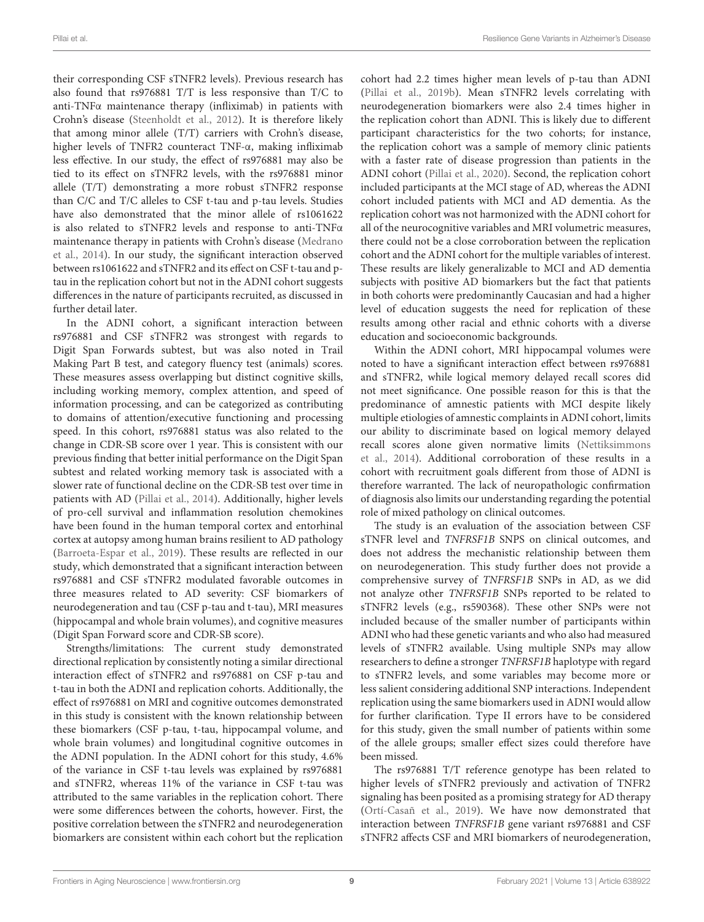their corresponding CSF sTNFR2 levels). Previous research has also found that rs976881 T/T is less responsive than T/C to anti-TNFα maintenance therapy (infliximab) in patients with Crohn's disease [\(Steenholdt et al., 2012\)](#page-11-5). It is therefore likely that among minor allele (T/T) carriers with Crohn's disease, higher levels of TNFR2 counteract TNF-α, making infliximab less effective. In our study, the effect of rs976881 may also be tied to its effect on sTNFR2 levels, with the rs976881 minor allele (T/T) demonstrating a more robust sTNFR2 response than C/C and T/C alleles to CSF t-tau and p-tau levels. Studies have also demonstrated that the minor allele of rs1061622 is also related to sTNFR2 levels and response to anti-TNFα maintenance therapy in patients with Crohn's disease (Medrano et al., [2014\)](#page-10-15). In our study, the significant interaction observed between rs1061622 and sTNFR2 and its effect on CSF t-tau and ptau in the replication cohort but not in the ADNI cohort suggests differences in the nature of participants recruited, as discussed in further detail later.

In the ADNI cohort, a significant interaction between rs976881 and CSF sTNFR2 was strongest with regards to Digit Span Forwards subtest, but was also noted in Trail Making Part B test, and category fluency test (animals) scores. These measures assess overlapping but distinct cognitive skills, including working memory, complex attention, and speed of information processing, and can be categorized as contributing to domains of attention/executive functioning and processing speed. In this cohort, rs976881 status was also related to the change in CDR-SB score over 1 year. This is consistent with our previous finding that better initial performance on the Digit Span subtest and related working memory task is associated with a slower rate of functional decline on the CDR-SB test over time in patients with AD [\(Pillai et al., 2014\)](#page-10-34). Additionally, higher levels of pro-cell survival and inflammation resolution chemokines have been found in the human temporal cortex and entorhinal cortex at autopsy among human brains resilient to AD pathology [\(Barroeta-Espar et al., 2019\)](#page-9-3). These results are reflected in our study, which demonstrated that a significant interaction between rs976881 and CSF sTNFR2 modulated favorable outcomes in three measures related to AD severity: CSF biomarkers of neurodegeneration and tau (CSF p-tau and t-tau), MRI measures (hippocampal and whole brain volumes), and cognitive measures (Digit Span Forward score and CDR-SB score).

Strengths/limitations: The current study demonstrated directional replication by consistently noting a similar directional interaction effect of sTNFR2 and rs976881 on CSF p-tau and t-tau in both the ADNI and replication cohorts. Additionally, the effect of rs976881 on MRI and cognitive outcomes demonstrated in this study is consistent with the known relationship between these biomarkers (CSF p-tau, t-tau, hippocampal volume, and whole brain volumes) and longitudinal cognitive outcomes in the ADNI population. In the ADNI cohort for this study, 4.6% of the variance in CSF t-tau levels was explained by rs976881 and sTNFR2, whereas 11% of the variance in CSF t-tau was attributed to the same variables in the replication cohort. There were some differences between the cohorts, however. First, the positive correlation between the sTNFR2 and neurodegeneration biomarkers are consistent within each cohort but the replication

cohort had 2.2 times higher mean levels of p-tau than ADNI [\(Pillai et al., 2019b\)](#page-10-8). Mean sTNFR2 levels correlating with neurodegeneration biomarkers were also 2.4 times higher in the replication cohort than ADNI. This is likely due to different participant characteristics for the two cohorts; for instance, the replication cohort was a sample of memory clinic patients with a faster rate of disease progression than patients in the ADNI cohort [\(Pillai et al., 2020\)](#page-10-7). Second, the replication cohort included participants at the MCI stage of AD, whereas the ADNI cohort included patients with MCI and AD dementia. As the replication cohort was not harmonized with the ADNI cohort for all of the neurocognitive variables and MRI volumetric measures, there could not be a close corroboration between the replication cohort and the ADNI cohort for the multiple variables of interest. These results are likely generalizable to MCI and AD dementia subjects with positive AD biomarkers but the fact that patients in both cohorts were predominantly Caucasian and had a higher level of education suggests the need for replication of these results among other racial and ethnic cohorts with a diverse education and socioeconomic backgrounds.

Within the ADNI cohort, MRI hippocampal volumes were noted to have a significant interaction effect between rs976881 and sTNFR2, while logical memory delayed recall scores did not meet significance. One possible reason for this is that the predominance of amnestic patients with MCI despite likely multiple etiologies of amnestic complaints in ADNI cohort, limits our ability to discriminate based on logical memory delayed recall scores alone given normative limits (Nettiksimmons et al., [2014\)](#page-10-35). Additional corroboration of these results in a cohort with recruitment goals different from those of ADNI is therefore warranted. The lack of neuropathologic confirmation of diagnosis also limits our understanding regarding the potential role of mixed pathology on clinical outcomes.

The study is an evaluation of the association between CSF sTNFR level and TNFRSF1B SNPS on clinical outcomes, and does not address the mechanistic relationship between them on neurodegeneration. This study further does not provide a comprehensive survey of TNFRSF1B SNPs in AD, as we did not analyze other TNFRSF1B SNPs reported to be related to sTNFR2 levels (e.g., rs590368). These other SNPs were not included because of the smaller number of participants within ADNI who had these genetic variants and who also had measured levels of sTNFR2 available. Using multiple SNPs may allow researchers to define a stronger TNFRSF1B haplotype with regard to sTNFR2 levels, and some variables may become more or less salient considering additional SNP interactions. Independent replication using the same biomarkers used in ADNI would allow for further clarification. Type II errors have to be considered for this study, given the small number of patients within some of the allele groups; smaller effect sizes could therefore have been missed.

The rs976881 T/T reference genotype has been related to higher levels of sTNFR2 previously and activation of TNFR2 signaling has been posited as a promising strategy for AD therapy [\(Ortí-Casañ et al., 2019\)](#page-10-36). We have now demonstrated that interaction between TNFRSF1B gene variant rs976881 and CSF sTNFR2 affects CSF and MRI biomarkers of neurodegeneration,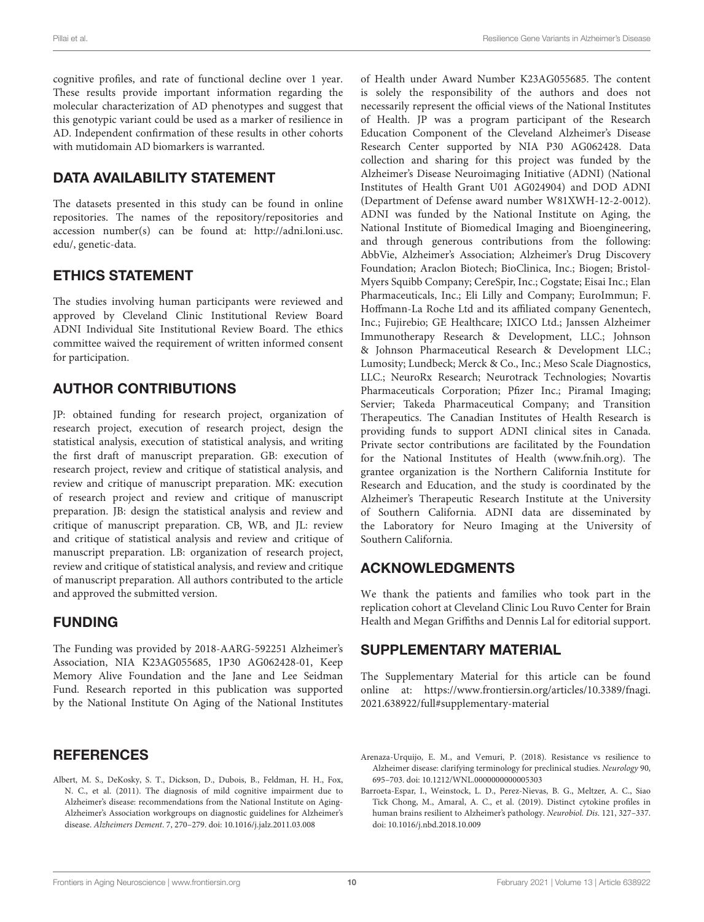cognitive profiles, and rate of functional decline over 1 year. These results provide important information regarding the molecular characterization of AD phenotypes and suggest that this genotypic variant could be used as a marker of resilience in AD. Independent confirmation of these results in other cohorts with mutidomain AD biomarkers is warranted.

### DATA AVAILABILITY STATEMENT

The datasets presented in this study can be found in online repositories. The names of the repository/repositories and accession number(s) can be found at: [http://adni.loni.usc.](http://adni.loni.usc.edu/) [edu/,](http://adni.loni.usc.edu/) genetic-data.

#### ETHICS STATEMENT

The studies involving human participants were reviewed and approved by Cleveland Clinic Institutional Review Board ADNI Individual Site Institutional Review Board. The ethics committee waived the requirement of written informed consent for participation.

# AUTHOR CONTRIBUTIONS

JP: obtained funding for research project, organization of research project, execution of research project, design the statistical analysis, execution of statistical analysis, and writing the first draft of manuscript preparation. GB: execution of research project, review and critique of statistical analysis, and review and critique of manuscript preparation. MK: execution of research project and review and critique of manuscript preparation. JB: design the statistical analysis and review and critique of manuscript preparation. CB, WB, and JL: review and critique of statistical analysis and review and critique of manuscript preparation. LB: organization of research project, review and critique of statistical analysis, and review and critique of manuscript preparation. All authors contributed to the article and approved the submitted version.

#### FUNDING

The Funding was provided by 2018-AARG-592251 Alzheimer's Association, NIA K23AG055685, 1P30 AG062428-01, Keep Memory Alive Foundation and the Jane and Lee Seidman Fund. Research reported in this publication was supported by the National Institute On Aging of the National Institutes

#### **REFERENCES**

<span id="page-9-1"></span>Albert, M. S., DeKosky, S. T., Dickson, D., Dubois, B., Feldman, H. H., Fox, N. C., et al. (2011). The diagnosis of mild cognitive impairment due to Alzheimer's disease: recommendations from the National Institute on Aging-Alzheimer's Association workgroups on diagnostic guidelines for Alzheimer's disease. Alzheimers Dement. 7, 270–279. doi: [10.1016/j.jalz.2011.03.008](https://doi.org/10.1016/j.jalz.2011.03.008)

of Health under Award Number K23AG055685. The content is solely the responsibility of the authors and does not necessarily represent the official views of the National Institutes of Health. JP was a program participant of the Research Education Component of the Cleveland Alzheimer's Disease Research Center supported by NIA P30 AG062428. Data collection and sharing for this project was funded by the Alzheimer's Disease Neuroimaging Initiative (ADNI) (National Institutes of Health Grant U01 AG024904) and DOD ADNI (Department of Defense award number W81XWH-12-2-0012). ADNI was funded by the National Institute on Aging, the National Institute of Biomedical Imaging and Bioengineering, and through generous contributions from the following: AbbVie, Alzheimer's Association; Alzheimer's Drug Discovery Foundation; Araclon Biotech; BioClinica, Inc.; Biogen; Bristol-Myers Squibb Company; CereSpir, Inc.; Cogstate; Eisai Inc.; Elan Pharmaceuticals, Inc.; Eli Lilly and Company; EuroImmun; F. Hoffmann-La Roche Ltd and its affiliated company Genentech, Inc.; Fujirebio; GE Healthcare; IXICO Ltd.; Janssen Alzheimer Immunotherapy Research & Development, LLC.; Johnson & Johnson Pharmaceutical Research & Development LLC.; Lumosity; Lundbeck; Merck & Co., Inc.; Meso Scale Diagnostics, LLC.; NeuroRx Research; Neurotrack Technologies; Novartis Pharmaceuticals Corporation; Pfizer Inc.; Piramal Imaging; Servier; Takeda Pharmaceutical Company; and Transition Therapeutics. The Canadian Institutes of Health Research is providing funds to support ADNI clinical sites in Canada. Private sector contributions are facilitated by the Foundation for the National Institutes of Health [\(www.fnih.org\)](http://www.fnih.org). The grantee organization is the Northern California Institute for Research and Education, and the study is coordinated by the Alzheimer's Therapeutic Research Institute at the University of Southern California. ADNI data are disseminated by the Laboratory for Neuro Imaging at the University of Southern California.

### ACKNOWLEDGMENTS

We thank the patients and families who took part in the replication cohort at Cleveland Clinic Lou Ruvo Center for Brain Health and Megan Griffiths and Dennis Lal for editorial support.

#### SUPPLEMENTARY MATERIAL

<span id="page-9-2"></span>The Supplementary Material for this article can be found [online at: https://www.frontiersin.org/articles/10.3389/fnagi.](https://www.frontiersin.org/articles/10.3389/fnagi.2021.638922/full#supplementary-material) 2021.638922/full#supplementary-material

- <span id="page-9-0"></span>Arenaza-Urquijo, E. M., and Vemuri, P. (2018). Resistance vs resilience to Alzheimer disease: clarifying terminology for preclinical studies. Neurology 90, 695–703. doi: [10.1212/WNL.0000000000005303](https://doi.org/10.1212/WNL.0000000000005303)
- <span id="page-9-3"></span>Barroeta-Espar, I., Weinstock, L. D., Perez-Nievas, B. G., Meltzer, A. C., Siao Tick Chong, M., Amaral, A. C., et al. (2019). Distinct cytokine profiles in human brains resilient to Alzheimer's pathology. Neurobiol. Dis. 121, 327–337. doi: [10.1016/j.nbd.2018.10.009](https://doi.org/10.1016/j.nbd.2018.10.009)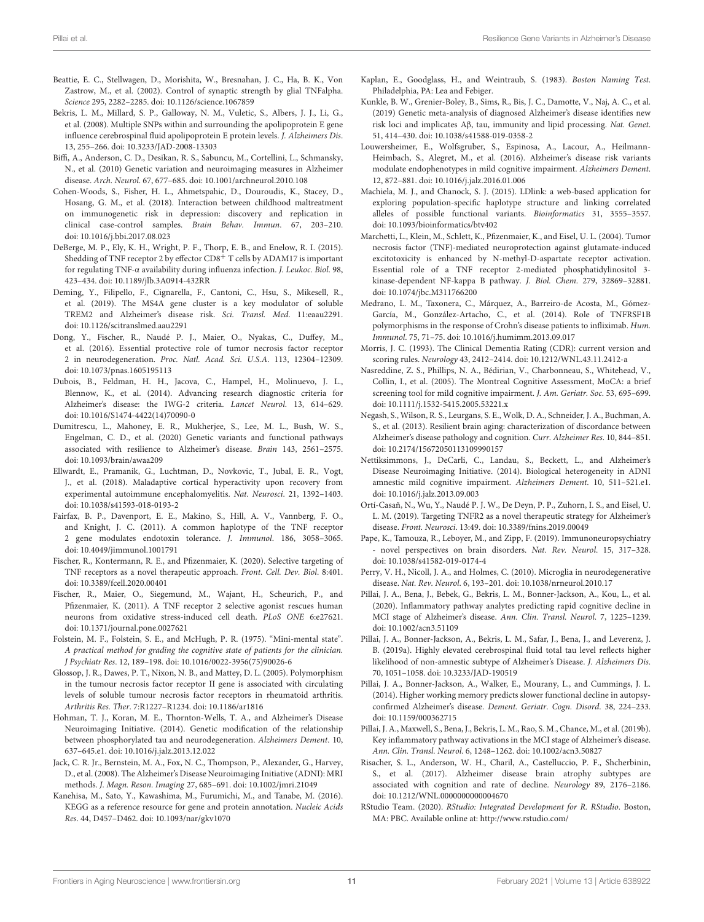- <span id="page-10-27"></span>Beattie, E. C., Stellwagen, D., Morishita, W., Bresnahan, J. C., Ha, B. K., Von Zastrow, M., et al. (2002). Control of synaptic strength by glial TNFalpha. Science 295, 2282–2285. doi: [10.1126/science.1067859](https://doi.org/10.1126/science.1067859)
- <span id="page-10-22"></span>Bekris, L. M., Millard, S. P., Galloway, N. M., Vuletic, S., Albers, J. J., Li, G., et al. (2008). Multiple SNPs within and surrounding the apolipoprotein E gene influence cerebrospinal fluid apolipoprotein E protein levels. J. Alzheimers Dis. 13, 255–266. doi: [10.3233/JAD-2008-13303](https://doi.org/10.3233/JAD-2008-13303)
- <span id="page-10-17"></span>Biffi, A., Anderson, C. D., Desikan, R. S., Sabuncu, M., Cortellini, L., Schmansky, N., et al. (2010) Genetic variation and neuroimaging measures in Alzheimer disease. Arch. Neurol. 67, 677–685. doi: [10.1001/archneurol.2010.108](https://doi.org/10.1001/archneurol.2010.108)
- <span id="page-10-16"></span>Cohen-Woods, S., Fisher, H. L., Ahmetspahic, D., Douroudis, K., Stacey, D., Hosang, G. M., et al. (2018). Interaction between childhood maltreatment on immunogenetic risk in depression: discovery and replication in clinical case-control samples. Brain Behav. Immun. 67, 203–210. doi: [10.1016/j.bbi.2017.08.023](https://doi.org/10.1016/j.bbi.2017.08.023)
- <span id="page-10-11"></span>DeBerge, M. P., Ely, K. H., Wright, P. F., Thorp, E. B., and Enelow, R. I. (2015). Shedding of TNF receptor 2 by effector  $CD8^+$  T cells by ADAM17 is important for regulating TNF-α availability during influenza infection. J. Leukoc. Biol. 98, 423–434. doi: [10.1189/jlb.3A0914-432RR](https://doi.org/10.1189/jlb.3A0914-432RR)
- <span id="page-10-26"></span>Deming, Y., Filipello, F., Cignarella, F., Cantoni, C., Hsu, S., Mikesell, R., et al. (2019). The MS4A gene cluster is a key modulator of soluble TREM2 and Alzheimer's disease risk. Sci. Transl. Med. 11:eaau2291. doi: [10.1126/scitranslmed.aau2291](https://doi.org/10.1126/scitranslmed.aau2291)
- <span id="page-10-10"></span>Dong, Y., Fischer, R., Naudé P. J., Maier, O., Nyakas, C., Duffey, M., et al. (2016). Essential protective role of tumor necrosis factor receptor 2 in neurodegeneration. Proc. Natl. Acad. Sci. U.S.A. 113, 12304–12309. doi: [10.1073/pnas.1605195113](https://doi.org/10.1073/pnas.1605195113)
- <span id="page-10-0"></span>Dubois, B., Feldman, H. H., Jacova, C., Hampel, H., Molinuevo, J. L., Blennow, K., et al. (2014). Advancing research diagnostic criteria for Alzheimer's disease: the IWG-2 criteria. Lancet Neurol. 13, 614–629. doi: [10.1016/S1474-4422\(14\)70090-0](https://doi.org/10.1016/S1474-4422(14)70090-0)
- <span id="page-10-33"></span>Dumitrescu, L., Mahoney, E. R., Mukherjee, S., Lee, M. L., Bush, W. S., Engelman, C. D., et al. (2020) Genetic variants and functional pathways associated with resilience to Alzheimer's disease. Brain 143, 2561–2575. doi: [10.1093/brain/awaa209](https://doi.org/10.1093/brain/awaa209)
- <span id="page-10-28"></span>Ellwardt, E., Pramanik, G., Luchtman, D., Novkovic, T., Jubal, E. R., Vogt, J., et al. (2018). Maladaptive cortical hyperactivity upon recovery from experimental autoimmune encephalomyelitis. Nat. Neurosci. 21, 1392–1403. doi: [10.1038/s41593-018-0193-2](https://doi.org/10.1038/s41593-018-0193-2)
- <span id="page-10-12"></span>Fairfax, B. P., Davenport, E. E., Makino, S., Hill, A. V., Vannberg, F. O., and Knight, J. C. (2011). A common haplotype of the TNF receptor 2 gene modulates endotoxin tolerance. J. Immunol. 186, 3058–3065. doi: [10.4049/jimmunol.1001791](https://doi.org/10.4049/jimmunol.1001791)
- <span id="page-10-32"></span>Fischer, R., Kontermann, R. E., and Pfizenmaier, K. (2020). Selective targeting of TNF receptors as a novel therapeutic approach. Front. Cell. Dev. Biol. 8:401. doi: [10.3389/fcell.2020.00401](https://doi.org/10.3389/fcell.2020.00401)
- <span id="page-10-9"></span>Fischer, R., Maier, O., Siegemund, M., Wajant, H., Scheurich, P., and Pfizenmaier, K. (2011). A TNF receptor 2 selective agonist rescues human neurons from oxidative stress-induced cell death. PLoS ONE 6:e27621. doi: [10.1371/journal.pone.0027621](https://doi.org/10.1371/journal.pone.0027621)
- <span id="page-10-20"></span>Folstein, M. F., Folstein, S. E., and McHugh, P. R. (1975). "Mini-mental state". A practical method for grading the cognitive state of patients for the clinician. J Psychiatr Res. 12, 189–198. doi: [10.1016/0022-3956\(75\)90026-6](https://doi.org/10.1016/0022-3956(75)90026-6)
- <span id="page-10-14"></span>Glossop, J. R., Dawes, P. T., Nixon, N. B., and Mattey, D. L. (2005). Polymorphism in the tumour necrosis factor receptor II gene is associated with circulating levels of soluble tumour necrosis factor receptors in rheumatoid arthritis. Arthritis Res. Ther. 7:R1227–R1234. doi: [10.1186/ar1816](https://doi.org/10.1186/ar1816)
- <span id="page-10-3"></span>Hohman, T. J., Koran, M. E., Thornton-Wells, T. A., and Alzheimer's Disease Neuroimaging Initiative. (2014). Genetic modification of the relationship between phosphorylated tau and neurodegeneration. Alzheimers Dement. 10, 637–645.e1. doi: [10.1016/j.jalz.2013.12.022](https://doi.org/10.1016/j.jalz.2013.12.022)
- <span id="page-10-18"></span>Jack, C. R. Jr., Bernstein, M. A., Fox, N. C., Thompson, P., Alexander, G., Harvey, D., et al. (2008). The Alzheimer's Disease Neuroimaging Initiative (ADNI): MRI methods. J. Magn. Reson. Imaging 27, 685–691. doi: [10.1002/jmri.21049](https://doi.org/10.1002/jmri.21049)
- <span id="page-10-31"></span>Kanehisa, M., Sato, Y., Kawashima, M., Furumichi, M., and Tanabe, M. (2016). KEGG as a reference resource for gene and protein annotation. Nucleic Acids Res. 44, D457–D462. doi: [10.1093/nar/gkv1070](https://doi.org/10.1093/nar/gkv1070)
- <span id="page-10-19"></span>Kaplan, E., Goodglass, H., and Weintraub, S. (1983). Boston Naming Test. Philadelphia, PA: Lea and Febiger.
- <span id="page-10-25"></span>Kunkle, B. W., Grenier-Boley, B., Sims, R., Bis, J. C., Damotte, V., Naj, A. C., et al. (2019) Genetic meta-analysis of diagnosed Alzheimer's disease identifies new risk loci and implicates Aβ, tau, immunity and lipid processing. Nat. Genet. 51, 414–430. doi: [10.1038/s41588-019-0358-2](https://doi.org/10.1038/s41588-019-0358-2)
- <span id="page-10-4"></span>Louwersheimer, E., Wolfsgruber, S., Espinosa, A., Lacour, A., Heilmann-Heimbach, S., Alegret, M., et al. (2016). Alzheimer's disease risk variants modulate endophenotypes in mild cognitive impairment. Alzheimers Dement. 12, 872–881. doi: [10.1016/j.jalz.2016.01.006](https://doi.org/10.1016/j.jalz.2016.01.006)
- <span id="page-10-13"></span>Machiela, M. J., and Chanock, S. J. (2015). LDlink: a web-based application for exploring population-specific haplotype structure and linking correlated alleles of possible functional variants. Bioinformatics 31, 3555–3557. doi: [10.1093/bioinformatics/btv402](https://doi.org/10.1093/bioinformatics/btv402)
- <span id="page-10-30"></span>Marchetti, L., Klein, M., Schlett, K., Pfizenmaier, K., and Eisel, U. L. (2004). Tumor necrosis factor (TNF)-mediated neuroprotection against glutamate-induced excitotoxicity is enhanced by N-methyl-D-aspartate receptor activation. Essential role of a TNF receptor 2-mediated phosphatidylinositol 3 kinase-dependent NF-kappa B pathway. J. Biol. Chem. 279, 32869–32881. doi: [10.1074/jbc.M311766200](https://doi.org/10.1074/jbc.M311766200)
- <span id="page-10-15"></span>Medrano, L. M., Taxonera, C., Márquez, A., Barreiro-de Acosta, M., Gómez-García, M., González-Artacho, C., et al. (2014). Role of TNFRSF1B polymorphisms in the response of Crohn's disease patients to infliximab. Hum. Immunol. 75, 71–75. doi: [10.1016/j.humimm.2013.09.017](https://doi.org/10.1016/j.humimm.2013.09.017)
- <span id="page-10-21"></span>Morris, J. C. (1993). The Clinical Dementia Rating (CDR): current version and scoring rules. Neurology 43, 2412–2414. doi: [10.1212/WNL.43.11.2412-a](https://doi.org/10.1212/WNL.43.11.2412-a)
- <span id="page-10-23"></span>Nasreddine, Z. S., Phillips, N. A., Bédirian, V., Charbonneau, S., Whitehead, V., Collin, I., et al. (2005). The Montreal Cognitive Assessment, MoCA: a brief screening tool for mild cognitive impairment. J. Am. Geriatr. Soc. 53, 695–699. doi: [10.1111/j.1532-5415.2005.53221.x](https://doi.org/10.1111/j.1532-5415.2005.53221.x)
- <span id="page-10-5"></span>Negash, S., Wilson, R. S., Leurgans, S. E., Wolk, D. A., Schneider, J. A., Buchman, A. S., et al. (2013). Resilient brain aging: characterization of discordance between Alzheimer's disease pathology and cognition. Curr. Alzheimer Res. 10, 844–851. doi: [10.2174/15672050113109990157](https://doi.org/10.2174/15672050113109990157)
- <span id="page-10-35"></span>Nettiksimmons, J., DeCarli, C., Landau, S., Beckett, L., and Alzheimer's Disease Neuroimaging Initiative. (2014). Biological heterogeneity in ADNI amnestic mild cognitive impairment. Alzheimers Dement. 10, 511–521.e1. doi: [10.1016/j.jalz.2013.09.003](https://doi.org/10.1016/j.jalz.2013.09.003)
- <span id="page-10-36"></span>Ortí-Casañ, N., Wu, Y., Naudé P. J. W., De Deyn, P. P., Zuhorn, I. S., and Eisel, U. L. M. (2019). Targeting TNFR2 as a novel therapeutic strategy for Alzheimer's disease. Front. Neurosci. 13:49. doi: [10.3389/fnins.2019.00049](https://doi.org/10.3389/fnins.2019.00049)
- <span id="page-10-29"></span>Pape, K., Tamouza, R., Leboyer, M., and Zipp, F. (2019). Immunoneuropsychiatry - novel perspectives on brain disorders. Nat. Rev. Neurol. 15, 317-328. doi: [10.1038/s41582-019-0174-4](https://doi.org/10.1038/s41582-019-0174-4)
- <span id="page-10-6"></span>Perry, V. H., Nicoll, J. A., and Holmes, C. (2010). Microglia in neurodegenerative disease. Nat. Rev. Neurol. 6, 193–201. doi: [10.1038/nrneurol.2010.17](https://doi.org/10.1038/nrneurol.2010.17)
- <span id="page-10-7"></span>Pillai, J. A., Bena, J., Bebek, G., Bekris, L. M., Bonner-Jackson, A., Kou, L., et al. (2020). Inflammatory pathway analytes predicting rapid cognitive decline in MCI stage of Alzheimer's disease. Ann. Clin. Transl. Neurol. 7, 1225–1239. doi: [10.1002/acn3.51109](https://doi.org/10.1002/acn3.51109)
- <span id="page-10-2"></span>Pillai, J. A., Bonner-Jackson, A., Bekris, L. M., Safar, J., Bena, J., and Leverenz, J. B. (2019a). Highly elevated cerebrospinal fluid total tau level reflects higher likelihood of non-amnestic subtype of Alzheimer's Disease. J. Alzheimers Dis. 70, 1051–1058. doi: [10.3233/JAD-190519](https://doi.org/10.3233/JAD-190519)
- <span id="page-10-34"></span>Pillai, J. A., Bonner-Jackson, A., Walker, E., Mourany, L., and Cummings, J. L. (2014). Higher working memory predicts slower functional decline in autopsyconfirmed Alzheimer's disease. Dement. Geriatr. Cogn. Disord. 38, 224–233. doi: [10.1159/000362715](https://doi.org/10.1159/000362715)
- <span id="page-10-8"></span>Pillai, J. A., Maxwell, S., Bena, J., Bekris, L. M., Rao, S. M., Chance, M., et al. (2019b). Key inflammatory pathway activations in the MCI stage of Alzheimer's disease. Ann. Clin. Transl. Neurol. 6, 1248–1262. doi: [10.1002/acn3.50827](https://doi.org/10.1002/acn3.50827)
- <span id="page-10-1"></span>Risacher, S. L., Anderson, W. H., Charil, A., Castelluccio, P. F., Shcherbinin, S., et al. (2017). Alzheimer disease brain atrophy subtypes are associated with cognition and rate of decline. Neurology 89, 2176–2186. doi: [10.1212/WNL.0000000000004670](https://doi.org/10.1212/WNL.0000000000004670)
- <span id="page-10-24"></span>RStudio Team. (2020). RStudio: Integrated Development for R. RStudio. Boston, MA: PBC. Available online at:<http://www.rstudio.com/>